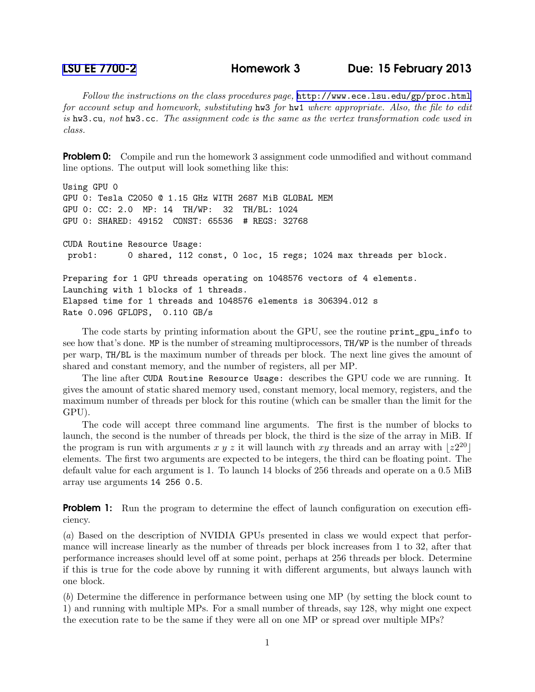Follow the instructions on the class procedures page, <http://www.ece.lsu.edu/gp/proc.html> for account setup and homework, substituting hw3 for hw1 where appropriate. Also, the file to edit is hw3.cu, not hw3.cc. The assignment code is the same as the vertex transformation code used in class.

**Problem 0:** Compile and run the homework 3 assignment code unmodified and without command line options. The output will look something like this:

```
Using GPU 0
GPU 0: Tesla C2050 @ 1.15 GHz WITH 2687 MiB GLOBAL MEM
GPU 0: CC: 2.0 MP: 14 TH/WP: 32 TH/BL: 1024
GPU 0: SHARED: 49152 CONST: 65536 # REGS: 32768
CUDA Routine Resource Usage:
prob1: 0 shared, 112 const, 0 loc, 15 regs; 1024 max threads per block.
Preparing for 1 GPU threads operating on 1048576 vectors of 4 elements.
Launching with 1 blocks of 1 threads.
Elapsed time for 1 threads and 1048576 elements is 306394.012 s
```
Rate 0.096 GFLOPS, 0.110 GB/s

The code starts by printing information about the GPU, see the routine print\_gpu\_info to see how that's done. MP is the number of streaming multiprocessors, TH/WP is the number of threads per warp, TH/BL is the maximum number of threads per block. The next line gives the amount of shared and constant memory, and the number of registers, all per MP.

The line after CUDA Routine Resource Usage: describes the GPU code we are running. It gives the amount of static shared memory used, constant memory, local memory, registers, and the maximum number of threads per block for this routine (which can be smaller than the limit for the GPU).

The code will accept three command line arguments. The first is the number of blocks to launch, the second is the number of threads per block, the third is the size of the array in MiB. If the program is run with arguments x y z it will launch with xy threads and an array with  $\lfloor z^{2^{20}} \rfloor$ elements. The first two arguments are expected to be integers, the third can be floating point. The default value for each argument is 1. To launch 14 blocks of 256 threads and operate on a 0.5 MiB array use arguments 14 256 0.5.

**Problem 1:** Run the program to determine the effect of launch configuration on execution efficiency.

(a) Based on the description of NVIDIA GPUs presented in class we would expect that performance will increase linearly as the number of threads per block increases from 1 to 32, after that performance increases should level off at some point, perhaps at 256 threads per block. Determine if this is true for the code above by running it with different arguments, but always launch with one block.

(b) Determine the difference in performance between using one MP (by setting the block count to 1) and running with multiple MPs. For a small number of threads, say 128, why might one expect the execution rate to be the same if they were all on one MP or spread over multiple MPs?